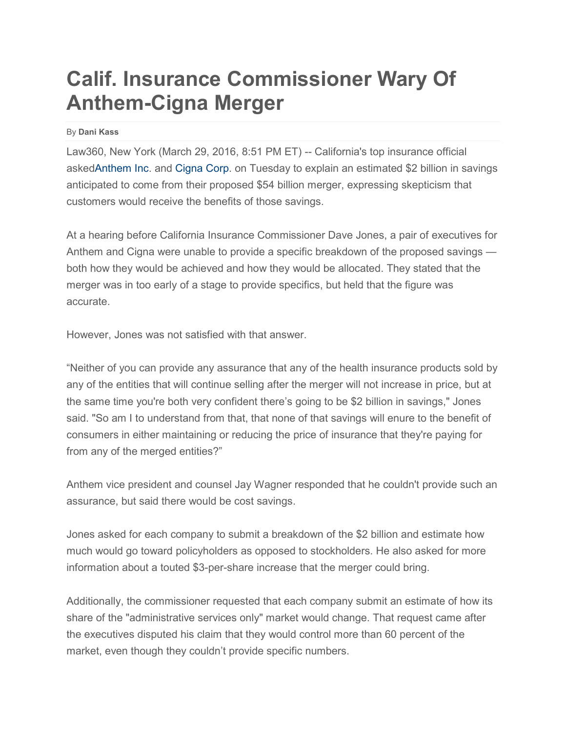## **Calif. Insurance Commissioner Wary Of Anthem-Cigna Merger**

By **Dani Kass**

Law360, New York (March 29, 2016, 8:51 PM ET) -- California's top insurance official aske[dAnthem Inc.](https://www.law360.com/companies/anthem-inc) and [Cigna Corp.](https://www.law360.com/companies/cigna-corporation) on Tuesday to explain an estimated \$2 billion in savings anticipated to come from their proposed \$54 billion merger, expressing skepticism that customers would receive the benefits of those savings.

At a hearing before California Insurance Commissioner Dave Jones, a pair of executives for Anthem and Cigna were unable to provide a specific breakdown of the proposed savings both how they would be achieved and how they would be allocated. They stated that the merger was in too early of a stage to provide specifics, but held that the figure was accurate.

However, Jones was not satisfied with that answer.

"Neither of you can provide any assurance that any of the health insurance products sold by any of the entities that will continue selling after the merger will not increase in price, but at the same time you're both very confident there's going to be \$2 billion in savings," Jones said. "So am I to understand from that, that none of that savings will enure to the benefit of consumers in either maintaining or reducing the price of insurance that they're paying for from any of the merged entities?"

Anthem vice president and counsel Jay Wagner responded that he couldn't provide such an assurance, but said there would be cost savings.

Jones asked for each company to submit a breakdown of the \$2 billion and estimate how much would go toward policyholders as opposed to stockholders. He also asked for more information about a touted \$3-per-share increase that the merger could bring.

Additionally, the commissioner requested that each company submit an estimate of how its share of the "administrative services only" market would change. That request came after the executives disputed his claim that they would control more than 60 percent of the market, even though they couldn't provide specific numbers.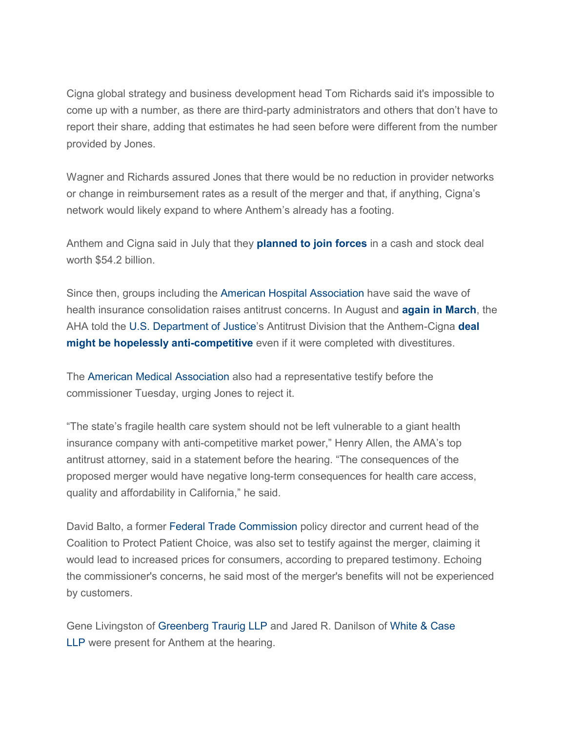Cigna global strategy and business development head Tom Richards said it's impossible to come up with a number, as there are third-party administrators and others that don't have to report their share, adding that estimates he had seen before were different from the number provided by Jones.

Wagner and Richards assured Jones that there would be no reduction in provider networks or change in reimbursement rates as a result of the merger and that, if anything, Cigna's network would likely expand to where Anthem's already has a footing.

Anthem and Cigna said in July that they **[planned](http://www.law360.com/articles/683111/anthem-inks-54b-deal-for-cigna) to join forces** in a cash and stock deal worth \$54.2 billion.

Since then, groups including the [American Hospital Association](https://www.law360.com/companies/american-hospital-association) have said the wave of health insurance consolidation raises antitrust concerns. In August and **again in [March](https://www.law360.com/articles/765919/aha-says-54b-anthem-cigna-deal-would-boost-bcbs-power)**, the AHA told the [U.S. Department of Justice'](https://www.law360.com/agencies/u-s-department-of-justice)s Antitrust Division that the Anthem-Cigna **[deal](http://www.law360.com/articles/688155/aha-urges-skepticism-in-54b-anthem-cigna-merger-review) might be hopelessly [anti-competitive](http://www.law360.com/articles/688155/aha-urges-skepticism-in-54b-anthem-cigna-merger-review)** even if it were completed with divestitures.

The [American Medical Association](https://www.law360.com/companies/american-medical-association-inc) also had a representative testify before the commissioner Tuesday, urging Jones to reject it.

"The state's fragile health care system should not be left vulnerable to a giant health insurance company with anti-competitive market power," Henry Allen, the AMA's top antitrust attorney, said in a statement before the hearing. "The consequences of the proposed merger would have negative long-term consequences for health care access, quality and affordability in California," he said.

David Balto, a former [Federal Trade Commission](https://www.law360.com/agencies/federal-trade-commission) policy director and current head of the Coalition to Protect Patient Choice, was also set to testify against the merger, claiming it would lead to increased prices for consumers, according to prepared testimony. Echoing the commissioner's concerns, he said most of the merger's benefits will not be experienced by customers.

Gene Livingston of [Greenberg Traurig LLP](https://www.law360.com/firms/greenberg-traurig) and Jared R. Danilson of [White & Case](https://www.law360.com/firms/white-case)  [LLP](https://www.law360.com/firms/white-case) were present for Anthem at the hearing.